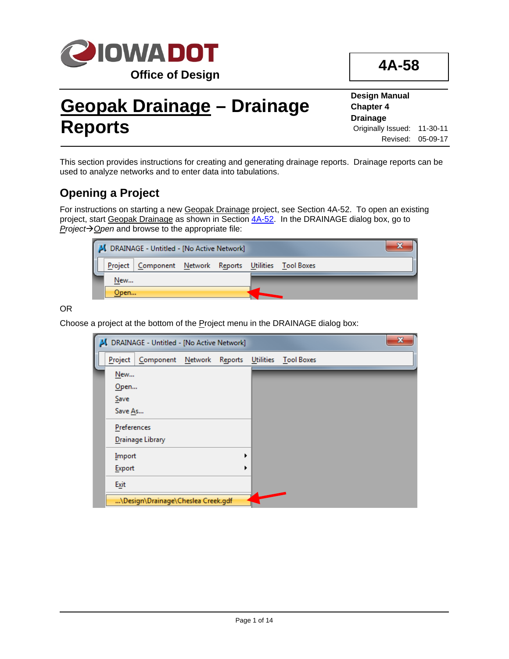

# **Geopak Drainage – Drainage Reports**

**Design Manual Chapter 4 Drainage** Originally Issued: 11-30-11 Revised: 05-09-17

This section provides instructions for creating and generating drainage reports. Drainage reports can be used to analyze networks and to enter data into tabulations.

# **Opening a Project**

For instructions on starting a new Geopak Drainage project, see Section 4A-52. To open an existing project, start Geopak Drainage as shown in Section  $\frac{4A-52}{2}$ . In the DRAINAGE dialog box, go to *Project* $\rightarrow$  Open and browse to the appropriate file:

|      | J DRAINAGE - Untitled - [No Active Network]            |  |  |  |
|------|--------------------------------------------------------|--|--|--|
|      | Project Component Network Reports Utilities Tool Boxes |  |  |  |
| New  |                                                        |  |  |  |
| Open |                                                        |  |  |  |

OR

Choose a project at the bottom of the Project menu in the DRAINAGE dialog box:

|             | DRAINAGE - Untitled - [No Active Network] |  |           |                   | $\mathbf{x}$ |  |
|-------------|-------------------------------------------|--|-----------|-------------------|--------------|--|
| Project     | Component Network Reports                 |  | Utilities | <b>Tool Boxes</b> |              |  |
| New         |                                           |  |           |                   |              |  |
| Open        |                                           |  |           |                   |              |  |
| Save        |                                           |  |           |                   |              |  |
| Save As     |                                           |  |           |                   |              |  |
| Preferences |                                           |  |           |                   |              |  |
|             | Drainage Library                          |  |           |                   |              |  |
| Import      |                                           |  |           |                   |              |  |
| Export      |                                           |  |           |                   |              |  |
| Exit        |                                           |  |           |                   |              |  |
|             | \Design\Drainage\Cheslea Creek.gdf        |  |           |                   |              |  |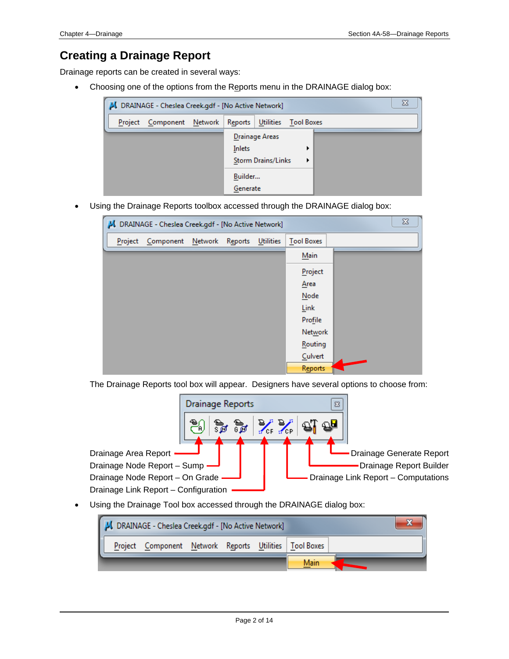### **Creating a Drainage Report**

Drainage reports can be created in several ways:

• Choosing one of the options from the Reports menu in the DRAINAGE dialog box:

| DRAINAGE - Cheslea Creek.gdf - [No Active Network]           |                                                              |  |  |  |  |  |  |  |  |  |  |  |
|--------------------------------------------------------------|--------------------------------------------------------------|--|--|--|--|--|--|--|--|--|--|--|
| Reports Utilities Tool Boxes<br>Component Network<br>Project |                                                              |  |  |  |  |  |  |  |  |  |  |  |
|                                                              | <b>Drainage Areas</b><br>Inlets<br><b>Storm Drains/Links</b> |  |  |  |  |  |  |  |  |  |  |  |
|                                                              | Builder<br>Generate                                          |  |  |  |  |  |  |  |  |  |  |  |

• Using the Drainage Reports toolbox accessed through the DRAINAGE dialog box:



The Drainage Reports tool box will appear. Designers have several options to choose from:



• Using the Drainage Tool box accessed through the DRAINAGE dialog box:

|         | DRAINAGE - Cheslea Creek.gdf - [No Active Network] |  |  |      |  |
|---------|----------------------------------------------------|--|--|------|--|
| Project | Component Network Reports Utilities   Tool Boxes   |  |  |      |  |
|         |                                                    |  |  | Main |  |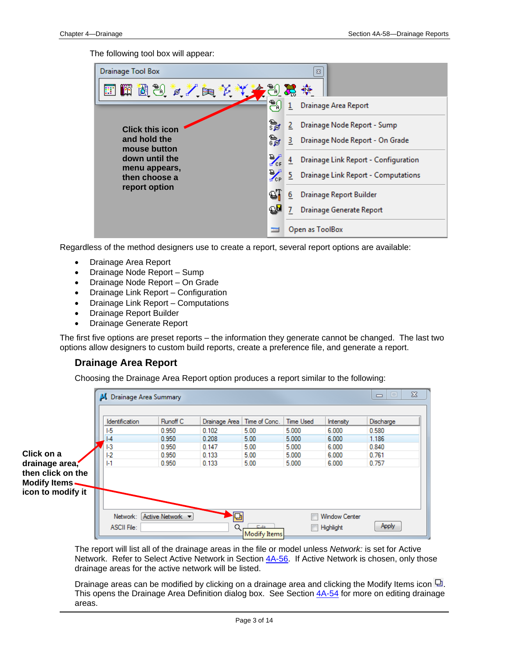The following tool box will appear:

| <b>Drainage Tool Box</b>       |                           |    | 器                                    |
|--------------------------------|---------------------------|----|--------------------------------------|
| n<br>個別など自殺*                   | -80                       | 조  |                                      |
|                                | 鹗                         | 1  | Drainage Area Report                 |
| <b>Click this icon</b>         | ্রী                       | 2  | Drainage Node Report - Sump          |
| and hold the<br>mouse button   | ীৱ                        | 3  | Drainage Node Report - On Grade      |
| down until the                 | $\mathcal{L}_\mathrm{rf}$ |    | Drainage Link Report - Configuration |
| menu appears,<br>then choose a | ╳                         | 5. | Drainage Link Report - Computations  |
| report option                  | ୍ଷା                       | 6  | Drainage Report Builder              |
|                                | ୟ⊌                        |    | Drainage Generate Report             |
|                                | <b>The State</b>          |    | Open as ToolBox                      |

Regardless of the method designers use to create a report, several report options are available:

- Drainage Area Report
- Drainage Node Report Sump
- Drainage Node Report On Grade
- Drainage Link Report Configuration
- Drainage Link Report Computations
- Drainage Report Builder
- Drainage Generate Report

The first five options are preset reports – the information they generate cannot be changed. The last two options allow designers to custom build reports, create a preference file, and generate a report.

#### **Drainage Area Report**

Choosing the Drainage Area Report option produces a report similar to the following:

|                   | Drainage Area Summary |                  |                |                     |                  |                      | $\Sigma$<br>$\Box$<br>$\qquad \qquad \Box$ |
|-------------------|-----------------------|------------------|----------------|---------------------|------------------|----------------------|--------------------------------------------|
|                   | <b>Identification</b> | Runoff C         | Drainage Area  | Time of Conc.       | <b>Time Used</b> | Intensity            | Discharge                                  |
|                   | $E_{5}$               | 0.950            | 0.102          | 5.00                | 5.000            | 6.000                | 0.580                                      |
|                   | $  -4$<br>$  -3$      | 0.950<br>0.950   | 0.208<br>0.147 | 5.00<br>5.00        | 5.000<br>5.000   | 6.000<br>6.000       | 1.186<br>0.840                             |
| Click on a        | $ -2 $                | 0.950            | 0.133          | 5.00                | 5.000            | 6.000                | 0.761                                      |
| drainage area,    | $1-1$                 | 0.950            | 0.133          | 5.00                | 5.000            | 6.000                | 0.757                                      |
| then click on the |                       |                  |                |                     |                  |                      |                                            |
| Modify Items-     |                       |                  |                |                     |                  |                      |                                            |
| icon to modify it |                       |                  |                |                     |                  |                      |                                            |
|                   |                       |                  |                |                     |                  |                      |                                            |
|                   | Network:              | Active Network v |                |                     |                  | <b>Window Center</b> |                                            |
|                   | ASCII File:           |                  |                | EAB<br>Modify Items |                  | Highlight            | Apply                                      |

The report will list all of the drainage areas in the file or model unless *Network:* is set for Active Network. Refer to Select Active Network in Section 4A-56. If Active Network is chosen, only those drainage areas for the active network will be listed.

Drainage areas can be modified by clicking on a drainage area and clicking the Modify Items icon  $\Box$ . This opens the Drainage Area Definition dialog box. See Section 4A-54 for more on editing drainage areas.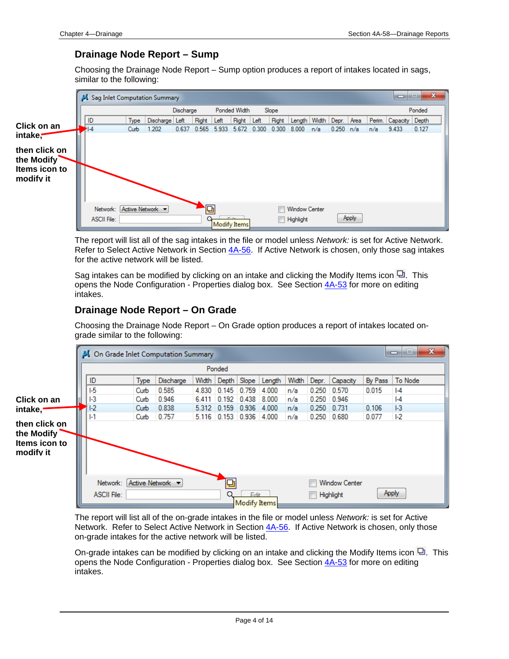#### **Drainage Node Report – Sump**

Choosing the Drainage Node Report – Sump option produces a report of intakes located in sags, similar to the following:



The report will list all of the sag intakes in the file or model unless *Network:* is set for Active Network. Refer to Select Active Network in Section 4A-56. If Active Network is chosen, only those sag intakes for the active network will be listed.

Sag intakes can be modified by clicking on an intake and clicking the Modify Items icon  $\Box$ . This opens the Node Configuration - Properties dialog box. See Section 4A-53 for more on editing intakes.

#### **Drainage Node Report – On Grade**

Choosing the Drainage Node Report – On Grade option produces a report of intakes located ongrade similar to the following:



The report will list all of the on-grade intakes in the file or model unless *Network:* is set for Active Network. Refer to Select Active Network in Section 4A-56. If Active Network is chosen, only those on-grade intakes for the active network will be listed.

On-grade intakes can be modified by clicking on an intake and clicking the Modify Items icon  $\Box$ . This opens the Node Configuration - Properties dialog box. See Section 4A-53 for more on editing intakes.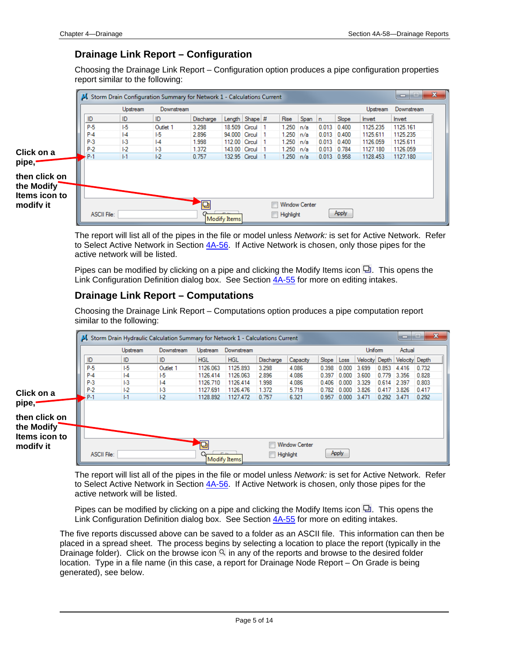#### **Drainage Link Report – Configuration**

Choosing the Drainage Link Report – Configuration option produces a pipe configuration properties report similar to the following:

|                                                                                 | Storm Drain Configuration Summary for Network 1 - Calculations Current | Upstream | Downstream     |           |                     |  |               |                      |               |       | Upstream | $\mathbf{x}$<br>▭<br>Downstream |
|---------------------------------------------------------------------------------|------------------------------------------------------------------------|----------|----------------|-----------|---------------------|--|---------------|----------------------|---------------|-------|----------|---------------------------------|
|                                                                                 | ID                                                                     | ID       | ID             | Discharge | Length Shape #      |  | Rise          | Span   n             |               | Slope | Invert   | Invert                          |
|                                                                                 | P-5                                                                    | $1-5$    | Outlet 1       | 3.298     | 18.509 Circul 1     |  | 1.250         | n/a                  | $0.013$ 0.400 |       | 1125.235 | 1125.161                        |
|                                                                                 | $P-4$                                                                  | $  -4$   | 1-5            | 2.896     | 94.000 Circul 1     |  | $1.250$ $n/a$ |                      | $0.013$ 0.400 |       | 1125.611 | 1125.235                        |
|                                                                                 | $P-3$                                                                  | $1-3$    | $  -4$         | 1.998     | 112.00 Circul 1     |  | $1.250$ $n/a$ |                      | $0.013$ 0.400 |       | 1126.059 | 1125.611                        |
| Click on a                                                                      | $P-2$                                                                  | $ -2 $   | H <sub>3</sub> | 1.372     | 143.00 Circul 1     |  | $1.250$ $n/a$ |                      | $0.013$ 0.784 |       | 1127.180 | 1126.059                        |
|                                                                                 | P-1                                                                    | $  - 1$  | E <sub>2</sub> | 0.757     | 132.95 Circul 1     |  | $1.250$ n/a   |                      | $0.013$ 0.958 |       | 1128.453 | 1127.180                        |
| pipe, <sup>.</sup><br>then click on<br>the Modify <sup>-</sup><br>Items icon to |                                                                        |          |                |           |                     |  |               |                      |               |       |          |                                 |
| modifv it                                                                       |                                                                        |          |                | 何         |                     |  |               | <b>Window Center</b> |               |       |          |                                 |
|                                                                                 | ASCII File:                                                            |          |                |           | <b>Modify Items</b> |  | Highlight     |                      |               | Apply |          |                                 |

The report will list all of the pipes in the file or model unless *Network:* is set for Active Network. Refer to Select Active Network in Section 4A-56. If Active Network is chosen, only those pipes for the active network will be listed.

Pipes can be modified by clicking on a pipe and clicking the Modify Items icon  $\Box$ . This opens the Link Configuration Definition dialog box. See Section 4A-55 for more on editing intakes.

#### **Drainage Link Report – Computations**

Choosing the Drainage Link Report – Computations option produces a pipe computation report similar to the following:

|               |                    |                | A Storm Drain Hydraulic Calculation Summary for Network 1 - Calculations Current |            |              |                  |                      |            |       |                |                   | o                             | $\mathbf{x}$<br>ш |
|---------------|--------------------|----------------|----------------------------------------------------------------------------------|------------|--------------|------------------|----------------------|------------|-------|----------------|-------------------|-------------------------------|-------------------|
|               |                    | Upstream       | Downstream                                                                       | Upstream   | Downstream   |                  |                      |            |       | <b>Uniform</b> |                   | Actual                        |                   |
|               | ID                 | ID             | ID                                                                               | <b>HGL</b> | <b>HGL</b>   | Discharge        | Capacity             | Slope Loss |       |                |                   | Velocity Depth Velocity Depth |                   |
|               | P-5                | $E_{\rm b}$    | Outlet 1                                                                         | 1126.063   | 1125.893     | 3.298            | 4.086                | 0.398      | 0.000 | 3.699          | $0.853 \pm 4.416$ |                               | 0.732             |
|               | $P-4$              | $  -4$         | 1-5                                                                              | 1126.414   | 1126.063     | 2.896            | 4.086                | 0.397      | 0.000 | 3.600          | 0.779             | 3.356                         | 0.828             |
|               | $P-3$              | H <sub>3</sub> | $  -4$                                                                           | 1126,710   | 1126,414     | 1.998            | 4.086                | 0.406      | 0.000 | 3.329          | $0.614$   2.397   |                               | 0.803             |
| Click on a    | $P-2$              | $ -2 $         | $1-3$                                                                            | 1127.691   | 1126.476     | 1.372            | 5.719                | 0.782      | 0.000 | 3.826          | $0.417$ 3.826     |                               | 0.417             |
|               | P-1                | $  - 1$        | $ -2 $                                                                           | 1128.892   | 1127.472     | 0.757            | 6.321                | 0.957      | 0.000 | 3.471          | 0.292 3.471       |                               | 0.292             |
| pipe,         |                    |                |                                                                                  |            |              |                  |                      |            |       |                |                   |                               |                   |
| then click on |                    |                |                                                                                  |            |              |                  |                      |            |       |                |                   |                               |                   |
|               |                    |                |                                                                                  |            |              |                  |                      |            |       |                |                   |                               |                   |
| the Modify    |                    |                |                                                                                  |            |              |                  |                      |            |       |                |                   |                               |                   |
| Items icon to |                    |                |                                                                                  |            |              |                  |                      |            |       |                |                   |                               |                   |
| modify it     |                    |                |                                                                                  | 恒          |              |                  | <b>Window Center</b> |            |       |                |                   |                               |                   |
|               | <b>ASCII File:</b> |                |                                                                                  |            | Modify Items | <b>Highlight</b> |                      |            | Apply |                |                   |                               |                   |

The report will list all of the pipes in the file or model unless *Network:* is set for Active Network. Refer to Select Active Network in Section 4A-56. If Active Network is chosen, only those pipes for the active network will be listed.

Pipes can be modified by clicking on a pipe and clicking the Modify Items icon  $\Box$ . This opens the Link Configuration Definition dialog box. See Section 4A-55 for more on editing intakes.

The five reports discussed above can be saved to a folder as an ASCII file. This information can then be placed in a spread sheet. The process begins by selecting a location to place the report (typically in the Drainage folder). Click on the browse icon  $\alpha$  in any of the reports and browse to the desired folder location. Type in a file name (in this case, a report for Drainage Node Report – On Grade is being generated), see below.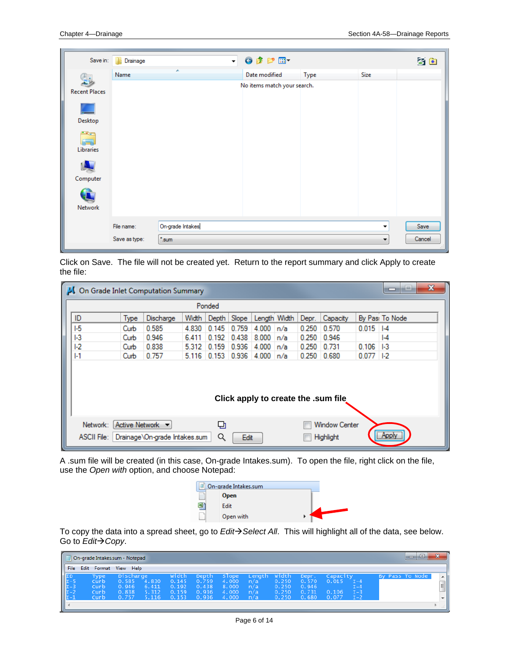| Save in:             | Drainage      | $\overline{\phantom{a}}$    | $0$ $0$ $0$ $1$ |        |             | $3$ $\overline{\ }$ |
|----------------------|---------------|-----------------------------|-----------------|--------|-------------|---------------------|
|                      | Name          |                             | Date modified   | Type   | <b>Size</b> |                     |
| <b>Recent Places</b> |               | No items match your search. |                 |        |             |                     |
| Desktop              |               |                             |                 |        |             |                     |
| ويتك<br>Libraries    |               |                             |                 |        |             |                     |
| Computer             |               |                             |                 |        |             |                     |
| Network              |               |                             |                 |        |             |                     |
|                      | File name:    | On-grade Intakes            | Save            |        |             |                     |
|                      | Save as type: | "sum"                       | ▼               | Cancel |             |                     |

Click on Save. The file will not be created yet. Return to the report summary and click Apply to create the file:

| On Grade Inlet Computation Summary  |      |                                                   |         |        |       |                     |      |               |                                   |       | $\mathbf x$<br>e<br>▭ |
|-------------------------------------|------|---------------------------------------------------|---------|--------|-------|---------------------|------|---------------|-----------------------------------|-------|-----------------------|
|                                     |      |                                                   |         | Ponded |       |                     |      |               |                                   |       |                       |
| ID                                  | Type | Discharge                                         | Width   | Depth  | Slope | Length Width        |      | Depr.         | Capacity                          |       | By Pas: To Node       |
| E                                   | Curb | 0.585                                             | 4 8 3 0 | 0.145  | 0.759 | 4.000               | In/a | 0.250         | 0.570                             | 0.015 | A                     |
| 1-3                                 | Curb | 0.946                                             | 6.411   | 0.192  | 0.438 | 8.000               | In/a | 0.250         | 0.946                             |       | $  -4$                |
| F <sub>2</sub>                      | Curb | 0.838                                             | 5.312   | 0.159  | 0.936 | 4.000               | n/a  | 0.250         | 0.731                             | 0.106 | $1-3$                 |
| $  - 1$                             | Curb | 0.757                                             | 5.116   | 0.153  |       | $0.936$ 4.000 $n/a$ |      | $0.250$ 0.680 |                                   | 0.077 | $ 1-2 $               |
| Click apply to create the .sum file |      |                                                   |         |        |       |                     |      |               |                                   |       |                       |
| Network:<br>ASCII File:             |      | Active Network •<br>Drainage\On-grade Intakes.sum |         | 던<br>Q | Edit  |                     |      |               | <b>Window Center</b><br>Highlight |       | <b>Apply</b>          |

A .sum file will be created (in this case, On-grade Intakes.sum). To open the file, right click on the file, use the *Open with* option, and choose Notepad:

| On-grade Intakes.sum |  |
|----------------------|--|
| <b>Open</b>          |  |
| Edit                 |  |
| Open with            |  |

To copy the data into a spread sheet, go to *EditSelect All*. This will highlight all of the data, see below. Go to *Edit* $\rightarrow$  *Copy*.

|                                                                                  | -9<br>▭<br>On-grade Intakes.sum - Notepad |                                               |                                 |                                                  |                                           |                                           |                                    |                                           |                                           |                            |                                 |  |                 | C <sub>1</sub><br>m    |
|----------------------------------------------------------------------------------|-------------------------------------------|-----------------------------------------------|---------------------------------|--------------------------------------------------|-------------------------------------------|-------------------------------------------|------------------------------------|-------------------------------------------|-------------------------------------------|----------------------------|---------------------------------|--|-----------------|------------------------|
| File                                                                             | Edit                                      | Format View Help                              |                                 |                                                  |                                           |                                           |                                    |                                           |                                           |                            |                                 |  |                 |                        |
| $\begin{array}{c} \nID \\ \nI - 5 \\ \nI - 3 \\ \nI - 2 \\ \nI - 1\n\end{array}$ | Tvpe<br>Curb<br>Curb<br>Curb<br>Curb      | Discharge<br>0.585<br>0.946<br>0.838<br>0.757 | .830<br>6.411<br>5.312<br>5.116 | <b>Width</b><br>0.145<br>0.192<br>0.159<br>0.153 | Depth<br>0.759<br>0.438<br>0.936<br>0.936 | Slope<br>4.000<br>8.000<br>4.000<br>4.000 | Length<br>n/a<br>n/a<br>n/a<br>n/a | width<br>0.250<br>0.250<br>0.250<br>0.250 | Depr.<br>0.570<br>0.946<br>0.731<br>0.680 | Capacity<br>0.106<br>0.077 | т –4<br>1-4<br>$T - 3$<br>$T-2$ |  | By Pass To Node | $\sim$<br>$=$<br>$  -$ |
|                                                                                  |                                           |                                               |                                 |                                                  |                                           |                                           |                                    |                                           |                                           |                            |                                 |  |                 | ШI                     |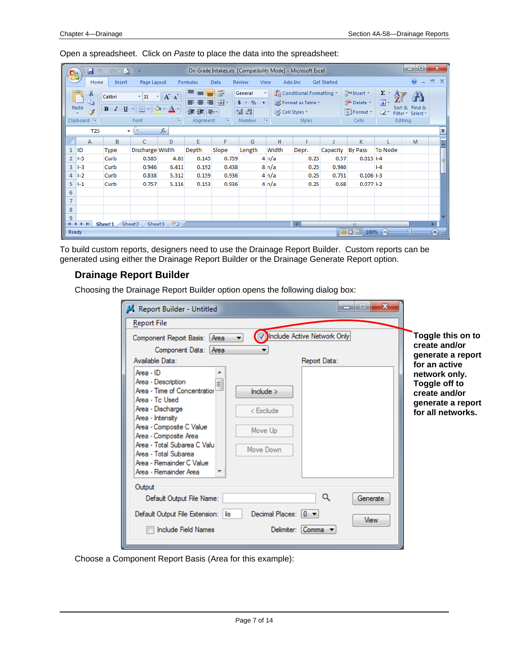Open a spreadsheet. Click on *Paste* to place the data into the spreadsheet:

| 멻              | Ы                                          | $-17 - 6 - 0$                                 | Ψ                   |             |                                                        |                                   |                                                                              |                  | On-Grade Intakes.xls [Compatibility Mode] - Microsoft Excel  |             |                                                                |                        | ▣<br>$\Box$                                   |                |
|----------------|--------------------------------------------|-----------------------------------------------|---------------------|-------------|--------------------------------------------------------|-----------------------------------|------------------------------------------------------------------------------|------------------|--------------------------------------------------------------|-------------|----------------------------------------------------------------|------------------------|-----------------------------------------------|----------------|
|                | Home                                       | Insert                                        | Page Layout         |             | Formulas                                               | Data                              | Review                                                                       | View             | Add-Ins                                                      | Get Started |                                                                |                        | $\odot$                                       | $\Box$         |
|                | Y.<br>h<br>Paste<br>Clipboard <sup>5</sup> | Calibri<br>$\mathbf{B}$<br>$\mathcal{I}$<br>U | $-111$<br>Ħ<br>Font | $A^A$<br>п. | 喜<br>$\equiv$<br>$\equiv$<br>畐<br>圖<br>铜铜<br>Alignment | 量<br>■ 團*<br>$\frac{30}{2}$<br>15 | General<br>$$ - \frac{9}{6}$ ,<br>$^{+.0}_{-0.0}$ . $^{0.3}_{0.0}$<br>Number | Cell Styles<br>履 | Conditional Formatting<br>Format as Table *<br><b>Styles</b> |             | $\frac{m}{H}$ = Insert $\tau$<br>Delete *<br>Format *<br>Cells | $\Sigma$ -<br>同一<br>Q- | Sort & Find &<br>Filter * Select *<br>Editing |                |
|                | T <sub>25</sub>                            | $\overline{\phantom{a}}$                      |                     | $f_x$       |                                                        |                                   |                                                                              |                  |                                                              |             |                                                                |                        |                                               | ×.             |
|                | A                                          | В                                             | Ċ                   | D           | E                                                      | F                                 | G                                                                            | н                |                                                              |             | K.                                                             |                        | M                                             |                |
| 1              | ID                                         | <b>Type</b>                                   | Discharge Width     |             | Depth                                                  | Slope                             | Length                                                                       | Width            | Depr.                                                        | Capacity    | <b>By Pass</b>                                                 | <b>To Node</b>         |                                               |                |
| 2              | $1-5$                                      | Curb                                          | 0.585               | 4.83        | 0.145                                                  | 0.759                             |                                                                              | $4 \nvert n/a$   | 0.25                                                         | 0.57        | $0.015$ I-4                                                    |                        |                                               |                |
| 3              | $I-3$                                      | Curb                                          | 0.946               | 6.411       | 0.192                                                  | 0.438                             |                                                                              | $8 \ln/a$        | 0.25                                                         | 0.946       |                                                                | $ -4$                  |                                               |                |
| 4              | $I-2$                                      | Curb                                          | 0.838               | 5.312       | 0.159                                                  | 0.936                             |                                                                              | $4 \nvert n/a$   | 0.25                                                         | 0.731       | $0.106$ I-3                                                    |                        |                                               |                |
| 5              | $1-1$                                      | Curb                                          | 0.757               | 5.116       | 0.153                                                  | 0.936                             |                                                                              | $4 \nvert n/a$   | 0.25                                                         | 0.68        | $0.077$ I-2                                                    |                        |                                               |                |
| 6              |                                            |                                               |                     |             |                                                        |                                   |                                                                              |                  |                                                              |             |                                                                |                        |                                               |                |
| $\overline{7}$ |                                            |                                               |                     |             |                                                        |                                   |                                                                              |                  |                                                              |             |                                                                |                        |                                               |                |
| 8              |                                            |                                               |                     |             |                                                        |                                   |                                                                              |                  |                                                              |             |                                                                |                        |                                               |                |
| 9              |                                            |                                               |                     |             |                                                        |                                   |                                                                              |                  |                                                              |             |                                                                |                        |                                               |                |
| $H + F$        | H.                                         | Sheet1 $\angle$                               | Sheet <sub>2</sub>  | Sheet3 / C  |                                                        |                                   |                                                                              |                  |                                                              |             | III                                                            |                        |                                               |                |
| Ready          |                                            |                                               |                     |             |                                                        |                                   |                                                                              |                  |                                                              |             | 田口凹<br>100%                                                    | $\left( =\right)$      | Ū                                             | $^{\circledR}$ |

To build custom reports, designers need to use the Drainage Report Builder. Custom reports can be generated using either the Drainage Report Builder or the Drainage Generate Report option.

#### **Drainage Report Builder**

Choosing the Drainage Report Builder option opens the following dialog box:

| <b>Report File</b><br>Component Report Basis: [Area]<br>Component Data: Area                                                                                                                                                                                                                                         | Include Active Network Only                                      | Toggle this on to<br>create and/or<br>generate a report                                                    |
|----------------------------------------------------------------------------------------------------------------------------------------------------------------------------------------------------------------------------------------------------------------------------------------------------------------------|------------------------------------------------------------------|------------------------------------------------------------------------------------------------------------|
| Available Data:<br>Area - $ID$<br>Area - Description<br>E<br>Area - Time of Concentration<br>Area - Tc Used<br>Area - Discharge<br>Area - Intensity<br>Area - Composite C Value<br>Area - Composite Area<br>Area - Total Subarea C Valu<br>Area - Total Subarea<br>Area - Remainder C Value<br>Area - Remainder Area | Report Data:<br>include ><br>$<$ Exclude<br>Move Up<br>Move Down | for an active<br>network only.<br>Toggle off to<br>create and/or<br>generate a report<br>for all networks. |
| Output<br>Default Output File Name:<br>Default Output File Extension:   lis<br><b>Include Field Names</b>                                                                                                                                                                                                            | Q<br>Decimal Places: $[0 \; \star]$<br>Delimiter: Comma          | Generate<br>View                                                                                           |

Choose a Component Report Basis (Area for this example):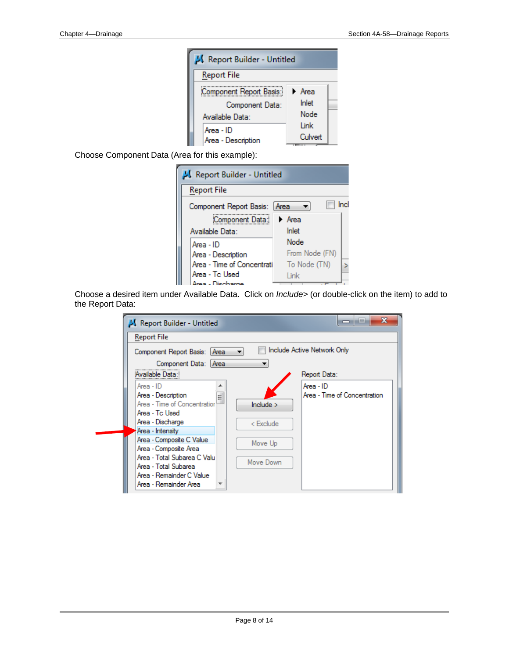| K Report Builder - Untitled |         |  |
|-----------------------------|---------|--|
| <b>Report File</b>          |         |  |
| Component Report Basis:     | ▶ Area  |  |
| Component Data:             | Inlet   |  |
| Available Data:             | Node    |  |
| Area - ID                   | Link    |  |
| Area - Description          | Culvert |  |

Choose Component Data (Area for this example):

| Report Builder - Untitled     |                |  |  |  |  |  |  |  |
|-------------------------------|----------------|--|--|--|--|--|--|--|
| <b>Report File</b>            |                |  |  |  |  |  |  |  |
| Component Report Basis: [Area | Incl           |  |  |  |  |  |  |  |
| Component Data:               | ▶ Area         |  |  |  |  |  |  |  |
| Available Data:               | Inlet          |  |  |  |  |  |  |  |
| Area - ID                     | Node           |  |  |  |  |  |  |  |
| Area - Description            | From Node (FN) |  |  |  |  |  |  |  |
| Area - Time of Concentrati    | To Node (TN)   |  |  |  |  |  |  |  |
| Area - Tc Used                | Link           |  |  |  |  |  |  |  |
| Arab - Diechama               |                |  |  |  |  |  |  |  |

Choose a desired item under Available Data. Click on *Include>* (or double-click on the item) to add to the Report Data:

| Report Builder - Untitled                                                                                                                                                                | x<br>i=                                                                          |
|------------------------------------------------------------------------------------------------------------------------------------------------------------------------------------------|----------------------------------------------------------------------------------|
| <b>Report File</b>                                                                                                                                                                       |                                                                                  |
| Component Report Basis: Area<br>Component Data: Area                                                                                                                                     | Include Active Network Only                                                      |
| Available Data:                                                                                                                                                                          | Report Data:                                                                     |
| Area - ID<br>∸<br>Area - Description<br>Ė<br>Area - Time of Concentration<br>Area - Tc Used<br>Area - Discharge<br>Area - Intensity<br>Area - Composite C Value<br>Area - Composite Area | $Area - ID$<br>Area - Time of Concentration<br>include ><br>< Exclude<br>Move Up |
| Area - Total Subarea C Valu<br>Area - Total Subarea<br>Area - Remainder C Value<br>Area - Remainder Area                                                                                 | Move Down                                                                        |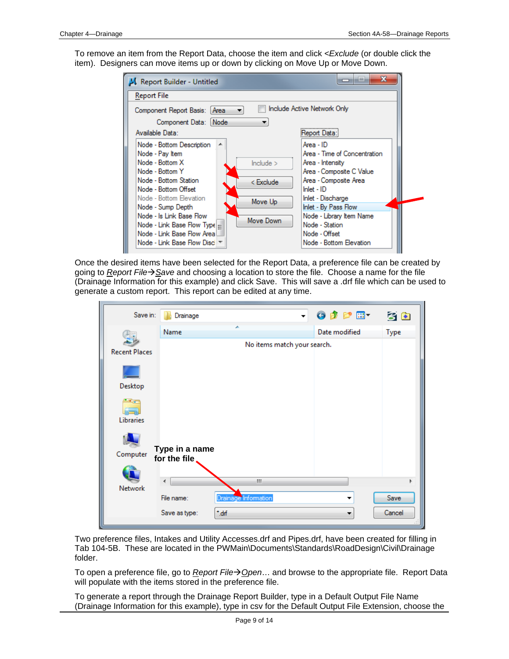To remove an item from the Report Data, choose the item and click *<Exclude* (or double click the item). Designers can move items up or down by clicking on Move Up or Move Down.

| Report Builder - Untitled             | х<br>iш                      |  |  |  |  |  |  |
|---------------------------------------|------------------------------|--|--|--|--|--|--|
| <b>Report File</b>                    |                              |  |  |  |  |  |  |
| Component Report Basis:   Area        | Include Active Network Only  |  |  |  |  |  |  |
| Component Data:   Node                |                              |  |  |  |  |  |  |
| Available Data:<br>Report Data:       |                              |  |  |  |  |  |  |
| Node - Bottom Description<br>┻        | Area - ID                    |  |  |  |  |  |  |
| Node - Pay Item                       | Area - Time of Concentration |  |  |  |  |  |  |
| Node - Bottom X<br>include >          | Area - Intensity             |  |  |  |  |  |  |
| Node - Bottom Y                       | Area - Composite C Value     |  |  |  |  |  |  |
| Node - Bottom Station<br>< Exclude    | Area - Composite Area        |  |  |  |  |  |  |
| Node - Bottom Offset                  | $lnlet - ID$                 |  |  |  |  |  |  |
| Node - Bottom Elevation<br>Move Up    | Inlet - Discharge            |  |  |  |  |  |  |
| Node - Sump Depth                     | Inlet - By Pass Flow         |  |  |  |  |  |  |
| Node - Is Link Base Flow<br>Move Down | Node - Library Item Name     |  |  |  |  |  |  |
| Node - Link Base Flow Type            | Node - Station               |  |  |  |  |  |  |
| Node - Link Base Flow Areal           | Node - Offset                |  |  |  |  |  |  |
| Node - Link Base Flow Disc T          | Node - Bottom Elevation      |  |  |  |  |  |  |

Once the desired items have been selected for the Report Data, a preference file can be created by going to *Report FileSave* and choosing a location to store the file. Choose a name for the file (Drainage Information for this example) and click Save. This will save a .drf file which can be used to generate a custom report. This report can be edited at any time.

| Save in:             | Drainage                        | ▼                           | $0$ $0$ $0$ $0$ $0$ | $3*$   |
|----------------------|---------------------------------|-----------------------------|---------------------|--------|
|                      | Name                            |                             | Date modified       | Type   |
| <b>Recent Places</b> |                                 | No items match your search. |                     |        |
|                      |                                 |                             |                     |        |
| Desktop              |                                 |                             |                     |        |
| Libraries            |                                 |                             |                     |        |
| Computer             | Type in a name<br>for the file, |                             |                     |        |
|                      |                                 |                             |                     |        |
| Network              |                                 | m                           |                     |        |
|                      | File name:                      | Drainage Information        |                     | Save   |
|                      | Save as type:                   | *.drf                       |                     | Cancel |

Two preference files, Intakes and Utility Accesses.drf and Pipes.drf, have been created for filling in Tab 104-5B. These are located in the PWMain\Documents\Standards\RoadDesign\Civil\Drainage folder.

To open a preference file, go to *Report FileOpen*… and browse to the appropriate file. Report Data will populate with the items stored in the preference file.

To generate a report through the Drainage Report Builder, type in a Default Output File Name (Drainage Information for this example), type in csv for the Default Output File Extension, choose the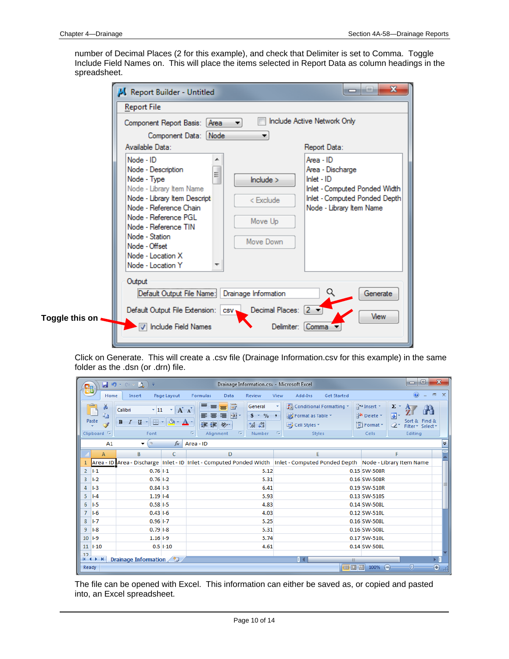number of Decimal Places (2 for this example), and check that Delimiter is set to Comma. Toggle Include Field Names on. This will place the items selected in Report Data as column headings in the spreadsheet.

| K Report Builder - Untitled<br><b>Report File</b>                                                                                                                                                                                                                                     | x<br>لعاره                                                                                                                                                                                                                |
|---------------------------------------------------------------------------------------------------------------------------------------------------------------------------------------------------------------------------------------------------------------------------------------|---------------------------------------------------------------------------------------------------------------------------------------------------------------------------------------------------------------------------|
| Component Report Basis: [Area]                                                                                                                                                                                                                                                        | Include Active Network Only<br>Component Data: Node                                                                                                                                                                       |
| Available Data:<br>Node - ID<br>Node - Description<br>Node - Type<br>Node - Library Item Name<br>Node - Library Item Descripti<br>Node - Reference Chain<br>Node - Reference PGL<br>Node - Reference TIN<br>Node - Station<br>Node - Offset<br>Node - Location X<br>Node - Location Y | Report Data:<br>Area - ID<br>Area - Discharge<br>$\equiv$<br>$lnlet - ID$<br>include ><br>Inlet - Computed Ponded Width<br>Inlet - Computed Ponded Depth<br>< Exclude<br>Node - Library Item Name<br>Move Up<br>Move Down |
| Output<br>Default Output File Name:<br>Toggle this on<br>Include Field Names                                                                                                                                                                                                          | Drainage Information<br>Generate<br>Q<br>Default Output File Extension:   csv   Decimal Places: [2 $\blacktriangleright$ ]<br>View<br>Delimiter: Comma                                                                    |

Click on Generate. This will create a .csv file (Drainage Information.csv for this example) in the same folder as the .dsn (or .drn) file.

| $\mathbf{C}_{12}$ |                                                                              | Ψ                                                                                           |              | Drainage Information.csv - Microsoft Excel                                                                                                                                               |                                                                                                       |                                                                                                       | $\mathbf{x}$<br>$\Box$<br><b>D</b>            |
|-------------------|------------------------------------------------------------------------------|---------------------------------------------------------------------------------------------|--------------|------------------------------------------------------------------------------------------------------------------------------------------------------------------------------------------|-------------------------------------------------------------------------------------------------------|-------------------------------------------------------------------------------------------------------|-----------------------------------------------|
|                   | Home                                                                         | Insert                                                                                      | Page Layout  | Data<br>Review<br>Formulas                                                                                                                                                               | View<br>Add-Ins<br><b>Get Started</b>                                                                 |                                                                                                       | $\circledcirc$<br>$\propto$<br>$\Box$         |
|                   | $\alpha$<br>Ж<br>P<br>G <sub>a</sub><br>Paste<br>Í<br>Clipboard <sup>5</sup> | $\overline{.}$ 11<br>Calibri<br>$\overline{I}$<br>B<br>$\mathbf{B}$<br>$\mathbf{U}$<br>Font | $A^A$<br>×۱  | 昬<br>事<br>General<br>$\equiv$<br>$\equiv$<br><b>国</b> ·<br>$$ - \frac{9}{6}$<br>国<br>畐<br>喜<br>信頼<br>$\frac{1}{2}$<br>$\frac{90}{66}$ - $\frac{90}{60}$<br>局<br>Alignment<br>Number<br>匾 | Conditional Formatting *<br>Format as Table *<br>$\rightarrow$<br>Cell Styles *<br>反<br><b>Styles</b> | 음• Insert *<br>$\Sigma$ -<br>$\overline{\bullet}$<br>Delete *<br>Format *<br>$\mathcal{Q}^+$<br>Cells | Sort & Find &<br>Filter * Select *<br>Editing |
|                   | A1                                                                           | $\circ$<br>▼                                                                                | $f_x$        | Area - ID                                                                                                                                                                                |                                                                                                       |                                                                                                       | ¥                                             |
|                   | A                                                                            | В                                                                                           | c            | D                                                                                                                                                                                        | E                                                                                                     | F                                                                                                     |                                               |
|                   |                                                                              |                                                                                             |              | Area - ID Area - Discharge   Inlet - ID   Inlet - Computed Ponded Width   Inlet - Computed Ponded Depth   Node - Library Item Name                                                       |                                                                                                       |                                                                                                       |                                               |
| $\overline{2}$    | $I-1$                                                                        | $0.761-1$                                                                                   |              | 5.12                                                                                                                                                                                     |                                                                                                       | 0.15 SW-508R                                                                                          |                                               |
| 3                 | $1-2$                                                                        | $0.76$ $1-2$                                                                                |              | 5.31                                                                                                                                                                                     |                                                                                                       | 0.16 SW-508R                                                                                          |                                               |
| 4                 | $1-3$                                                                        | $0.84$ $-3$                                                                                 |              | 6.41                                                                                                                                                                                     |                                                                                                       | 0.19 SW-510R                                                                                          |                                               |
| 5                 | $I - 4$                                                                      | $1.19$ $I-4$                                                                                |              | 5.93                                                                                                                                                                                     |                                                                                                       | 0.13 SW-510S                                                                                          |                                               |
| 6                 | $1-5$                                                                        | $0.58$ 1-5                                                                                  |              | 4.83                                                                                                                                                                                     |                                                                                                       | 0.14 SW-508L                                                                                          |                                               |
| 7                 | $I-6$                                                                        | $0.431 - 6$                                                                                 |              | 4.03                                                                                                                                                                                     |                                                                                                       | 0.12 SW-510L                                                                                          |                                               |
| 8                 | $I - 7$                                                                      | $0.96$ I-7                                                                                  |              | 5.25                                                                                                                                                                                     |                                                                                                       | 0.16 SW-508L                                                                                          |                                               |
| 9                 | $1-8$                                                                        | $0.79$ $-8$                                                                                 |              | 5.31                                                                                                                                                                                     |                                                                                                       | 0.16 SW-508L                                                                                          |                                               |
| 10                | $  -9$                                                                       | $1.16$ $I-9$                                                                                |              | 5.74                                                                                                                                                                                     |                                                                                                       | 0.17 SW-510L                                                                                          |                                               |
|                   | $11$ $1-10$                                                                  |                                                                                             | $0.5$ $1-10$ | 4.61                                                                                                                                                                                     |                                                                                                       | 0.14 SW-508L                                                                                          |                                               |
| 12                | $H + H$                                                                      | Drainage Information                                                                        |              |                                                                                                                                                                                          | п                                                                                                     | ШL                                                                                                    |                                               |
| Ready             |                                                                              |                                                                                             |              |                                                                                                                                                                                          |                                                                                                       | 曲回凹<br>$100\%$ $(-)$                                                                                  | $^\circledast$<br>Ū                           |

The file can be opened with Excel. This information can either be saved as, or copied and pasted into, an Excel spreadsheet.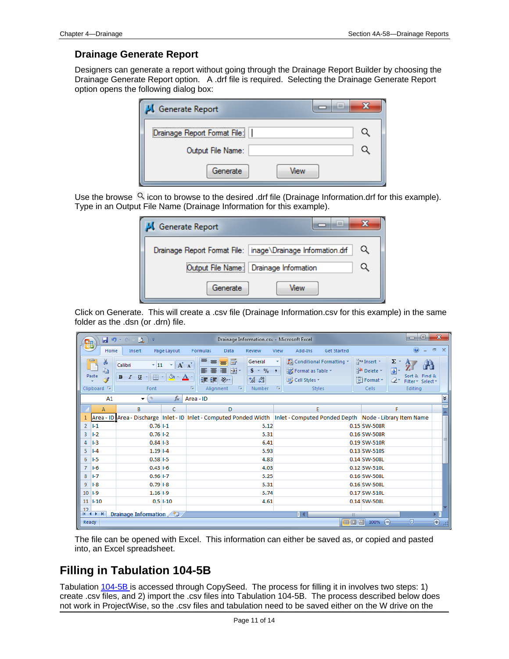#### **Drainage Generate Report**

Designers can generate a report without going through the Drainage Report Builder by choosing the Drainage Generate Report option. A .drf file is required. Selecting the Drainage Generate Report option opens the following dialog box:

| $\equiv$<br>Generate Report  |  |
|------------------------------|--|
| Drainage Report Format File: |  |
| Output File Name:            |  |
| Generate<br>View             |  |

Use the browse  $\Omega$  icon to browse to the desired .drf file (Drainage Information.drf for this example). Type in an Output File Name (Drainage Information for this example).

| i=i<br><sup>1</sup> Generate Report                           |  |
|---------------------------------------------------------------|--|
| Drainage Report Format File:   inage\Drainage Information.drf |  |
| Output File Name: Drainage Information                        |  |
| Generate<br>View                                              |  |

Click on Generate. This will create a .csv file (Drainage Information.csv for this example) in the same folder as the .dsn (or .drn) file.

| Cn         | ы                                                | $-9 - 10$<br>Ξ                                                                |                       |                                                                                                                                    |                                                                               | Drainage Information.csv - Microsoft Excel                                                                   |                    |                                                                 | ▣<br>$\Box$                                                                          | $\mathbf{x}$           |
|------------|--------------------------------------------------|-------------------------------------------------------------------------------|-----------------------|------------------------------------------------------------------------------------------------------------------------------------|-------------------------------------------------------------------------------|--------------------------------------------------------------------------------------------------------------|--------------------|-----------------------------------------------------------------|--------------------------------------------------------------------------------------|------------------------|
|            | Home                                             | Insert                                                                        | Page Layout           | Data<br>Formulas                                                                                                                   | Review                                                                        | Add-Ins<br>View                                                                                              | <b>Get Started</b> |                                                                 | 0                                                                                    | $\Box$<br>$\mathbf{x}$ |
|            | đ.<br>G)<br>Paste<br>Í<br>Clipboard <sup>5</sup> | $\mathbf{r}$ 11<br>Calibri<br>B<br>$\mathbf{B}$<br>$\mathcal{I}$<br>U<br>Font | $A^A$<br>$\mathbf{A}$ | 同<br>ᆖ<br>$\equiv$<br>$=$<br>리트를 보면<br>年細<br>$\frac{1}{2}$<br>$\overline{\mathbb{F}_2}$<br>Б.<br>Alignment                         | General<br>$$ - \frac{9}{6}$ ,<br>$\frac{80}{66}$ - $\frac{90}{60}$<br>Number | Conditional Formatting *<br>Format as Table *<br>Cell Styles<br>$\overline{\mathbb{F}_2}$ .<br><b>Styles</b> |                    | $\frac{1}{11}$ = Insert $\tau$<br>Delete *<br>Format *<br>Cells | $\Sigma$ +<br>同一<br>Sort & Find &<br>$\mathcal{Q}^+$<br>Filter * Select *<br>Editing |                        |
|            | A1                                               | <b>OL</b><br>۰                                                                | $f_x$                 | Area - ID                                                                                                                          |                                                                               |                                                                                                              |                    |                                                                 |                                                                                      | ¥                      |
|            | A                                                | B                                                                             | C                     | D                                                                                                                                  |                                                                               | E                                                                                                            |                    |                                                                 |                                                                                      |                        |
|            |                                                  |                                                                               |                       | Area - ID Area - Discharge   Inlet - ID   Inlet - Computed Ponded Width   Inlet - Computed Ponded Depth   Node - Library Item Name |                                                                               |                                                                                                              |                    |                                                                 |                                                                                      |                        |
| 2          | $1-1$                                            | $0.761 - 1$                                                                   |                       |                                                                                                                                    | 5.12                                                                          |                                                                                                              |                    | 0.15 SW-508R                                                    |                                                                                      |                        |
| 3          | $I-2$                                            | $0.76$ $1-2$                                                                  |                       |                                                                                                                                    | 5.31                                                                          |                                                                                                              |                    | 0.16 SW-508R                                                    |                                                                                      |                        |
| 4          | $1-3$                                            | $0.84$ $-3$                                                                   |                       |                                                                                                                                    | 6.41                                                                          |                                                                                                              |                    | 0.19 SW-510R                                                    |                                                                                      |                        |
| 5          | $I - 4$                                          | $1.19$ $I-4$                                                                  |                       |                                                                                                                                    | 5.93                                                                          |                                                                                                              |                    | 0.13 SW-510S                                                    |                                                                                      |                        |
| 6          | $I-5$                                            | $0.58$ I-5                                                                    |                       |                                                                                                                                    | 4.83                                                                          |                                                                                                              |                    | 0.14 SW-508L                                                    |                                                                                      |                        |
| 7          | $1-6$                                            | $0.431 - 6$                                                                   |                       |                                                                                                                                    | 4.03                                                                          |                                                                                                              |                    | 0.12 SW-510L                                                    |                                                                                      |                        |
| 8          | $1-7$                                            | $0.96$ I-7                                                                    |                       |                                                                                                                                    | 5.25                                                                          |                                                                                                              |                    | 0.16 SW-508L                                                    |                                                                                      |                        |
| 9          | $1-8$                                            | $0.791 - 8$                                                                   |                       |                                                                                                                                    | 5.31                                                                          |                                                                                                              |                    | 0.16 SW-508L                                                    |                                                                                      |                        |
| $10$ $I-9$ |                                                  | $1.16$ $I-9$                                                                  |                       |                                                                                                                                    | 5.74                                                                          |                                                                                                              |                    | 0.17 SW-510L                                                    |                                                                                      |                        |
|            | $11$ $1-10$                                      |                                                                               | $0.5$ $1-10$          |                                                                                                                                    | 4.61                                                                          |                                                                                                              |                    | 0.14 SW-508L                                                    |                                                                                      |                        |
| 12         | $H + H$                                          | Drainage Information                                                          |                       |                                                                                                                                    |                                                                               |                                                                                                              | Ш                  |                                                                 |                                                                                      | ΣП                     |
| Ready      |                                                  |                                                                               |                       |                                                                                                                                    |                                                                               |                                                                                                              | 田 回 凹              | $100% =$                                                        | σ                                                                                    | $^\circledast$         |

The file can be opened with Excel. This information can either be saved as, or copied and pasted into, an Excel spreadsheet.

## **Filling in Tabulation 104-5B**

Tabulation 104-5B is accessed through CopySeed. The process for filling it in involves two steps: 1) create .csv files, and 2) import the .csv files into Tabulation 104-5B. The process described below does not work in ProjectWise, so the .csv files and tabulation need to be saved either on the W drive on the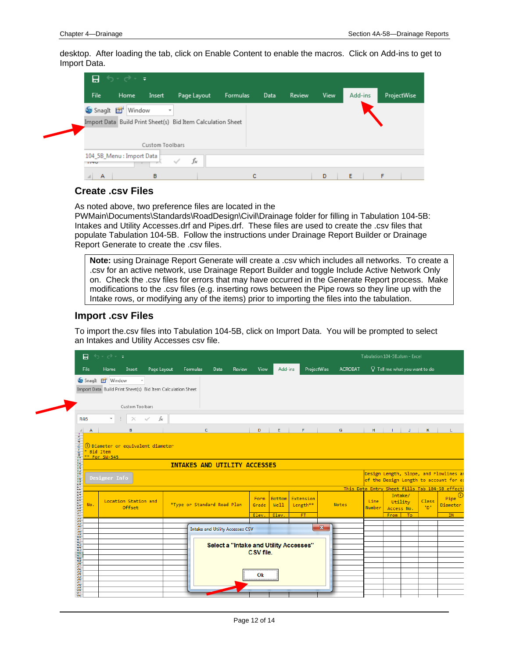desktop. After loading the tab, click on Enable Content to enable the macros. Click on Add-ins to get to Import Data.

|             | $\mathbf{H} \Leftrightarrow \mathbb{R} \rightarrow \mathbb{R}$ |                 |                                                             |          |      |        |      |         |             |
|-------------|----------------------------------------------------------------|-----------------|-------------------------------------------------------------|----------|------|--------|------|---------|-------------|
| <b>File</b> | Home                                                           | Insert          | Page Layout                                                 | Formulas | Data | Review | View | Add-ins | ProjectWise |
| Snaght [    | Window                                                         | ÷               |                                                             |          |      |        |      |         |             |
|             |                                                                |                 | Import Data Build Print Sheet(s) Bid Item Calculation Sheet |          |      |        |      |         |             |
|             |                                                                |                 |                                                             |          |      |        |      |         |             |
|             |                                                                | Custom Toolbars |                                                             |          |      |        |      |         |             |
|             | 104_5B_Menu : Import Data                                      |                 | fx                                                          |          |      |        |      |         |             |
| 11TU        |                                                                |                 |                                                             |          |      |        |      |         |             |

#### **Create .csv Files**

As noted above, two preference files are located in the

PWMain\Documents\Standards\RoadDesign\Civil\Drainage folder for filling in Tabulation 104-5B: Intakes and Utility Accesses.drf and Pipes.drf. These files are used to create the .csv files that populate Tabulation 104-5B. Follow the instructions under Drainage Report Builder or Drainage Report Generate to create the .csv files.

**Note:** using Drainage Report Generate will create a .csv which includes all networks. To create a .csv for an active network, use Drainage Report Builder and toggle Include Active Network Only on. Check the .csv files for errors that may have occurred in the Generate Report process. Make modifications to the .csv files (e.g. inserting rows between the Pipe rows so they line up with the Intake rows, or modifying any of the items) prior to importing the files into the tabulation.

#### **Import .csv Files**

To import the.csv files into Tabulation 104-5B, click on Import Data. You will be prompted to select an Intakes and Utility Accesses csv file.

| 日                                                                            | カーラーキ                          |                 |                                                             |                             |             |      |                                        |                 |                       |                                        |              |                | Tabulation 104-5B.xlsm - Excel                 |      |              |                                                                                  |    |
|------------------------------------------------------------------------------|--------------------------------|-----------------|-------------------------------------------------------------|-----------------------------|-------------|------|----------------------------------------|-----------------|-----------------------|----------------------------------------|--------------|----------------|------------------------------------------------|------|--------------|----------------------------------------------------------------------------------|----|
| File                                                                         | Home                           | Insert          | Page Layout                                                 |                             | Formulas    | Data | Review                                 | View            | Add-ins               |                                        | ProjectWise  | <b>ACROBAT</b> |                                                |      |              | $Q$ Tell me what you want to do                                                  |    |
|                                                                              | SnagIt T Window                |                 | Import Data Build Print Sheet(s) Bid Item Calculation Sheet |                             |             |      |                                        |                 |                       |                                        |              |                |                                                |      |              |                                                                                  |    |
|                                                                              |                                | Custom Toolbars |                                                             |                             |             |      |                                        |                 |                       |                                        |              |                |                                                |      |              |                                                                                  |    |
| R46                                                                          | $\overline{\phantom{a}}$       | ÷.<br>$\times$  | $f_x$<br>$\sim$                                             |                             |             |      |                                        |                 |                       |                                        |              |                |                                                |      |              |                                                                                  |    |
| А<br>$\frac{q\left( 1+q\left( 1\right) \right) }{\left\vert 1\right\vert }=$ |                                | B               |                                                             |                             | $\mathbf c$ |      |                                        | D               | E                     | F                                      |              | G              | H                                              | -1   | J            | κ                                                                                | L  |
|                                                                              | Designer Info                  |                 |                                                             |                             |             |      |                                        |                 |                       |                                        |              |                |                                                |      |              | Design Length, Slope, and Flowlines an<br>of the Design Length to account for es |    |
|                                                                              |                                |                 |                                                             |                             |             |      |                                        |                 |                       |                                        |              |                | This Data Entry Sheet fills Tab 104-5B effect: |      |              |                                                                                  |    |
| apapebagatanaaababaspees<br>No.                                              | Location Station and<br>Offset |                 |                                                             | *Type or Standard Road Plan |             |      | Form<br>Grade                          | Bottom<br>Well1 | Extension<br>Length** |                                        | Notes        | Line<br>Number | Intake/<br>Utility<br>Access No.               |      | Class<br>"D" | Pipe <sup>①</sup><br>Diameter                                                    |    |
|                                                                              |                                |                 |                                                             |                             |             |      |                                        | Elev.           | Elev.                 | FT.                                    |              |                |                                                | From | To           |                                                                                  | IN |
|                                                                              |                                |                 |                                                             |                             |             |      | <b>Intake and Utility Accesses CSV</b> |                 |                       |                                        | $\mathbf{x}$ |                |                                                |      |              |                                                                                  |    |
|                                                                              |                                |                 |                                                             |                             |             |      |                                        |                 |                       |                                        |              |                |                                                |      |              |                                                                                  |    |
|                                                                              |                                |                 |                                                             |                             |             |      |                                        | CSV file.       |                       | Select a "Intake and Utility Accesses" |              |                |                                                |      |              |                                                                                  |    |
|                                                                              |                                |                 |                                                             |                             |             |      |                                        |                 |                       |                                        |              |                |                                                |      |              |                                                                                  |    |
|                                                                              |                                |                 |                                                             |                             |             |      |                                        |                 |                       |                                        |              |                |                                                |      |              |                                                                                  |    |
|                                                                              |                                |                 |                                                             |                             |             |      |                                        |                 |                       |                                        |              |                |                                                |      |              |                                                                                  |    |
| cacksessessesses<br>39<br><u>ce</u>                                          |                                |                 |                                                             |                             |             |      |                                        | Ok              |                       |                                        |              |                |                                                |      |              |                                                                                  |    |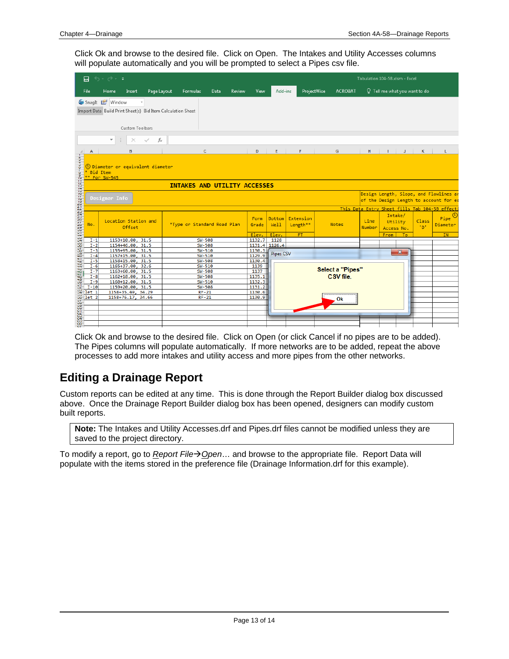Click Ok and browse to the desired file. Click on Open. The Intakes and Utility Accesses columns will populate automatically and you will be prompted to select a Pipes csv file.

|                                                             | 日                       | カーペーキ                                                                                             |                                     |                  |                       |                       |                         |                | Tabulation 104-5B.xlsm - Excel                                                     |              |                                          |
|-------------------------------------------------------------|-------------------------|---------------------------------------------------------------------------------------------------|-------------------------------------|------------------|-----------------------|-----------------------|-------------------------|----------------|------------------------------------------------------------------------------------|--------------|------------------------------------------|
|                                                             | File                    | Page Layout<br>Home<br>Insert                                                                     | Formulas<br>Review<br>Data          | View             | Add-ins               | ProjectWise           | <b>ACROBAT</b>          |                | $\Omega$ Tell me what you want to do                                               |              |                                          |
|                                                             |                         | SnagIt L'Window<br>Import Data Build Print Sheet(s) Bid Item Calculation Sheet<br>Custom Toolbars |                                     |                  |                       |                       |                         |                |                                                                                    |              |                                          |
|                                                             |                         |                                                                                                   |                                     |                  |                       |                       |                         |                |                                                                                    |              |                                          |
|                                                             |                         | fx<br>$\overline{\phantom{a}}$<br>$\times$<br>$\checkmark$                                        |                                     |                  |                       |                       |                         |                |                                                                                    |              |                                          |
|                                                             | А                       | B                                                                                                 | c                                   | D                | E.                    | F                     | G                       | H              | $\mathbf{L}$<br>J.                                                                 | κ            | L                                        |
| $\frac{c_1 + c_2 + c_3 + \cdots}{c_1 + c_2 + \cdots + c_n}$ | $\overline{b}$ Bid Item | 4) Diameter or equivalent diameter<br>$\frac{1}{10}$ ** For SW-545                                |                                     |                  |                       |                       |                         |                |                                                                                    |              |                                          |
| 11                                                          |                         |                                                                                                   | <b>INTAKES AND UTILITY ACCESSES</b> |                  |                       |                       |                         |                |                                                                                    |              |                                          |
|                                                             |                         | Designer Info                                                                                     |                                     |                  |                       |                       |                         |                | Design Length, Slope, and Flowlines a                                              |              |                                          |
|                                                             |                         |                                                                                                   |                                     |                  |                       |                       |                         |                | of the Design Length to account for e                                              |              |                                          |
|                                                             |                         | Location Station and<br>Offset                                                                    | *Type or Standard Road Plan         | Form<br>Grade    | <b>Bottom</b><br>Well | Extension<br>Length** | <b>Notes</b>            | Line<br>Number | This Data Entry Sheet fills Tab 104-5B effect:<br>Intake/<br>Utility<br>Access No. | Class<br>"D" | Pipe <sup><sup>①</sup></sup><br>Diameter |
|                                                             |                         |                                                                                                   |                                     | Elev.            | Elev.                 | <b>FT</b>             |                         |                | <b>From</b><br>To:                                                                 |              | <b>IN</b>                                |
|                                                             |                         | 1153+10.00, 31.5<br>1154+46.00, 31.5                                                              | <b>SW-508</b><br><b>SW-508</b>      | 1132.7           | 1128<br>1131.4 1126.4 |                       |                         |                |                                                                                    |              |                                          |
|                                                             |                         | 1155+95.00, 31.5                                                                                  | $SW-510$                            | 1130.3           |                       |                       |                         |                |                                                                                    |              |                                          |
|                                                             |                         | 1157+15.00, 31.5                                                                                  | SW-510                              | 1129.9           | <b>Pipes CSV</b>      |                       |                         |                | $\mathbf{x}$                                                                       |              |                                          |
|                                                             |                         | 1158+15.00, 31.5                                                                                  | <b>SW-508</b>                       | 1130.4           |                       |                       |                         |                |                                                                                    |              |                                          |
|                                                             |                         | 1165+37.00,<br>32.6                                                                               | $SW-510$                            | 1139             |                       |                       |                         |                |                                                                                    |              |                                          |
|                                                             |                         | 1163+60.00, 31.5                                                                                  | $SW-508$                            | 1137             |                       |                       | <b>Select a "Pipes"</b> |                |                                                                                    |              |                                          |
|                                                             |                         | 1162+18.00, 31.5                                                                                  | <b>SW-508</b>                       | 1135.1           |                       |                       | CSV file.               |                |                                                                                    |              |                                          |
|                                                             |                         | 1160+12.00, 31.5                                                                                  | SW-510                              | 1132.3           |                       |                       |                         |                |                                                                                    |              |                                          |
|                                                             |                         | 1159+20.00, 31.5<br>1158+35.49, 34.29                                                             | <b>SW-508</b><br>$RF-21$            | 1131.2<br>1130.6 |                       |                       |                         |                |                                                                                    |              |                                          |
|                                                             |                         | 1158+76.17, 34.66                                                                                 | $RF-21$                             | 1130.9           |                       |                       |                         |                |                                                                                    |              |                                          |
|                                                             |                         |                                                                                                   |                                     |                  |                       |                       | . Ok                    |                |                                                                                    |              |                                          |
|                                                             |                         |                                                                                                   |                                     |                  |                       |                       |                         |                |                                                                                    |              |                                          |
|                                                             |                         |                                                                                                   |                                     |                  |                       |                       |                         |                |                                                                                    |              |                                          |
| $\sigma$                                                    |                         |                                                                                                   |                                     |                  |                       |                       |                         |                |                                                                                    |              |                                          |
| $\overline{\mathbf{u}}$                                     |                         |                                                                                                   |                                     |                  |                       |                       |                         |                |                                                                                    |              |                                          |

Click Ok and browse to the desired file. Click on Open (or click Cancel if no pipes are to be added). The Pipes columns will populate automatically. If more networks are to be added, repeat the above processes to add more intakes and utility access and more pipes from the other networks.

## **Editing a Drainage Report**

Custom reports can be edited at any time. This is done through the Report Builder dialog box discussed above. Once the Drainage Report Builder dialog box has been opened, designers can modify custom built reports.

**Note:** The Intakes and Utility Accesses.drf and Pipes.drf files cannot be modified unless they are saved to the project directory.

To modify a report, go to *Report File→ Open*... and browse to the appropriate file. Report Data will populate with the items stored in the preference file (Drainage Information.drf for this example).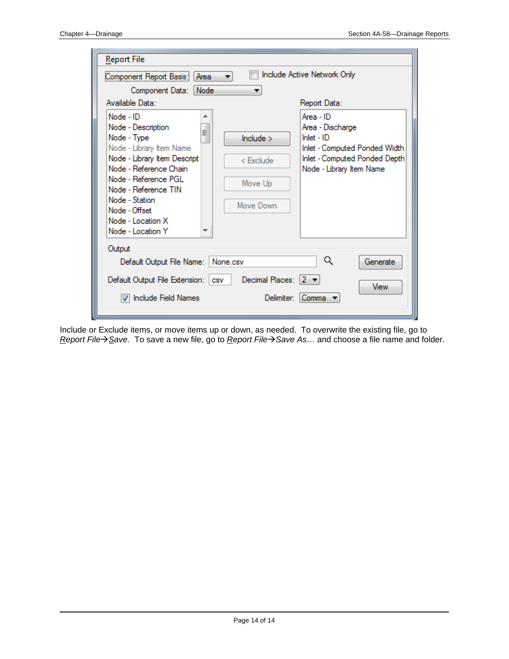| <b>Report File</b><br>Component Report Basis:<br>Area<br>Component Data: Node                                                                                                                                                                                                | Include Active Network Only                                                                                                                                                                   |
|------------------------------------------------------------------------------------------------------------------------------------------------------------------------------------------------------------------------------------------------------------------------------|-----------------------------------------------------------------------------------------------------------------------------------------------------------------------------------------------|
| Available Data:                                                                                                                                                                                                                                                              | Report Data:                                                                                                                                                                                  |
| Node - ID<br>┻<br>Node - Description<br>Ξ<br>Node - Type<br>Node - Library Item Name<br>Node - Library Item Descripti<br>Node - Reference Chain<br>Node - Reference PGL<br>Node - Reference TIN<br>Node - Station<br>Node - Offset<br>Node - Location X<br>Node - Location Y | Area - ID<br>Area - Discharge<br>$Inlet - ID$<br>include ><br>Inlet - Computed Ponded Width<br>Inlet - Computed Ponded Depth<br>< Exclude<br>Node - Library Item Name<br>Move Up<br>Move Down |
| Output<br>Default Output File Name:<br>Default Output File Extension:<br>Include Field Names                                                                                                                                                                                 | Q<br>Generate<br>None.csv<br>Decimal Places: $\begin{bmatrix} 2 \\ \end{bmatrix}$<br>CSV<br><b>View</b><br>Delimiter:   Comma                                                                 |

Include or Exclude items, or move items up or down, as needed. To overwrite the existing file, go to *Report FileSave*. To save a new file, go to *Report FileSave As*… and choose a file name and folder.